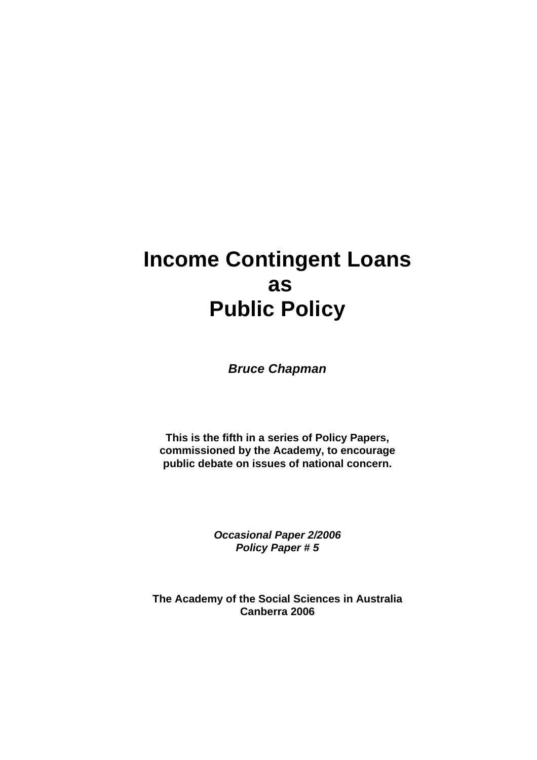*Bruce Chapman* 

**This is the fifth in a series of Policy Papers, commissioned by the Academy, to encourage public debate on issues of national concern.** 

> *Occasional Paper 2/2006 Policy Paper # 5*

**The Academy of the Social Sciences in Australia Canberra 2006**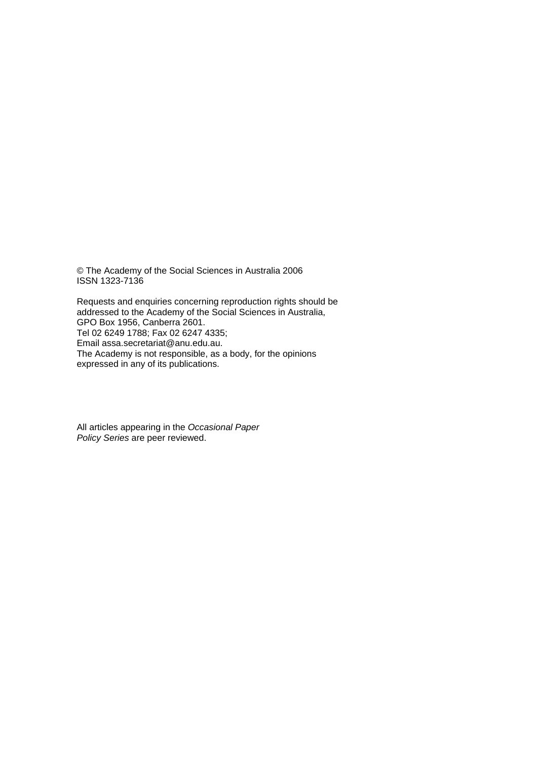© The Academy of the Social Sciences in Australia 2006 ISSN 1323-7136

Requests and enquiries concerning reproduction rights should be addressed to the Academy of the Social Sciences in Australia, GPO Box 1956, Canberra 2601. Tel 02 6249 1788; Fax 02 6247 4335; Email assa.secretariat@anu.edu.au. The Academy is not responsible, as a body, for the opinions expressed in any of its publications.

All articles appearing in the *Occasional Paper Policy Series* are peer reviewed.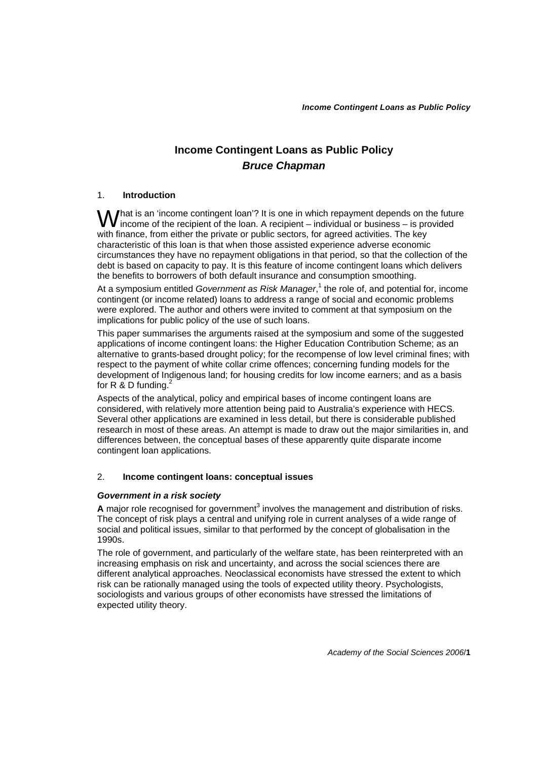## **Income Contingent Loans as Public Policy**  *Bruce Chapman*

#### 1. **Introduction**

**That is an 'income contingent loan'? It is one in which repayment depends on the future** What is an 'income contingent loan'? It is one in which repayment depends on the future income of the recipient of the loan. A recipient – individual or business – is provided with finance, from either the private or public sectors, for agreed activities. The key characteristic of this loan is that when those assisted experience adverse economic circumstances they have no repayment obligations in that period, so that the collection of the debt is based on capacity to pay. It is this feature of income contingent loans which delivers the benefits to borrowers of both default insurance and consumption smoothing.

At a symposium entitled *Government as Risk Manager*,<sup>1</sup> the role of, and potential for, income contingent (or income related) loans to address a range of social and economic problems were explored. The author and others were invited to comment at that symposium on the implications for public policy of the use of such loans.

This paper summarises the arguments raised at the symposium and some of the suggested applications of income contingent loans: the Higher Education Contribution Scheme; as an alternative to grants-based drought policy; for the recompense of low level criminal fines; with respect to the payment of white collar crime offences; concerning funding models for the development of Indigenous land; for housing credits for low income earners; and as a basis for R & D funding. $^{2}$ 

Aspects of the analytical, policy and empirical bases of income contingent loans are considered, with relatively more attention being paid to Australia's experience with HECS. Several other applications are examined in less detail, but there is considerable published research in most of these areas. An attempt is made to draw out the major similarities in, and differences between, the conceptual bases of these apparently quite disparate income contingent loan applications.

#### 2. **Income contingent loans: conceptual issues**

#### *Government in a risk society*

A major role recognised for government<sup>3</sup> involves the management and distribution of risks. The concept of risk plays a central and unifying role in current analyses of a wide range of social and political issues, similar to that performed by the concept of globalisation in the 1990s.

The role of government, and particularly of the welfare state, has been reinterpreted with an increasing emphasis on risk and uncertainty, and across the social sciences there are different analytical approaches. Neoclassical economists have stressed the extent to which risk can be rationally managed using the tools of expected utility theory. Psychologists, sociologists and various groups of other economists have stressed the limitations of expected utility theory.

*Academy of the Social Sciences 2006*/**1**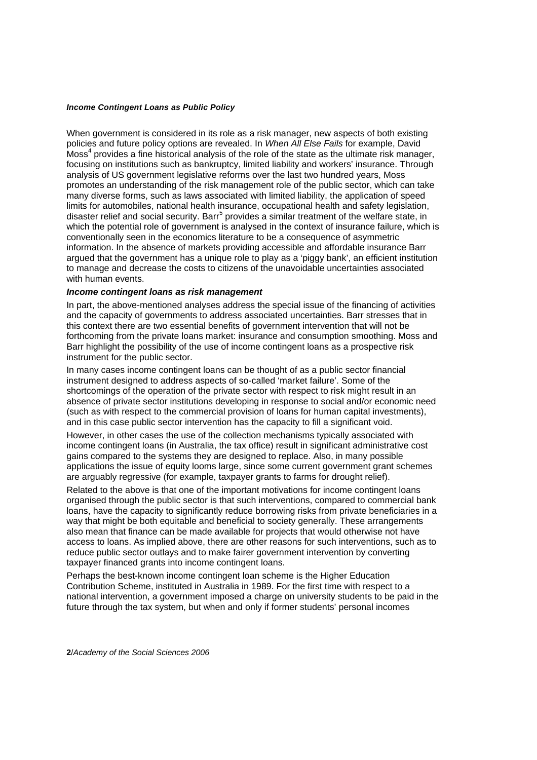When government is considered in its role as a risk manager, new aspects of both existing policies and future policy options are revealed. In *When All Else Fails* for example, David  $M$ oss $<sup>4</sup>$  provides a fine historical analysis of the role of the state as the ultimate risk manager,</sup> focusing on institutions such as bankruptcy, limited liability and workers' insurance. Through analysis of US government legislative reforms over the last two hundred years, Moss promotes an understanding of the risk management role of the public sector, which can take many diverse forms, such as laws associated with limited liability, the application of speed limits for automobiles, national health insurance, occupational health and safety legislation, disaster relief and social security. Barr<sup>5</sup> provides a similar treatment of the welfare state, in which the potential role of government is analysed in the context of insurance failure, which is conventionally seen in the economics literature to be a consequence of asymmetric information. In the absence of markets providing accessible and affordable insurance Barr argued that the government has a unique role to play as a 'piggy bank', an efficient institution to manage and decrease the costs to citizens of the unavoidable uncertainties associated with human events.

#### *Income contingent loans as risk management*

In part, the above-mentioned analyses address the special issue of the financing of activities and the capacity of governments to address associated uncertainties. Barr stresses that in this context there are two essential benefits of government intervention that will not be forthcoming from the private loans market: insurance and consumption smoothing. Moss and Barr highlight the possibility of the use of income contingent loans as a prospective risk instrument for the public sector.

In many cases income contingent loans can be thought of as a public sector financial instrument designed to address aspects of so-called 'market failure'. Some of the shortcomings of the operation of the private sector with respect to risk might result in an absence of private sector institutions developing in response to social and/or economic need (such as with respect to the commercial provision of loans for human capital investments), and in this case public sector intervention has the capacity to fill a significant void.

However, in other cases the use of the collection mechanisms typically associated with income contingent loans (in Australia, the tax office) result in significant administrative cost gains compared to the systems they are designed to replace. Also, in many possible applications the issue of equity looms large, since some current government grant schemes are arguably regressive (for example, taxpayer grants to farms for drought relief).

Related to the above is that one of the important motivations for income contingent loans organised through the public sector is that such interventions, compared to commercial bank loans, have the capacity to significantly reduce borrowing risks from private beneficiaries in a way that might be both equitable and beneficial to society generally. These arrangements also mean that finance can be made available for projects that would otherwise not have access to loans. As implied above, there are other reasons for such interventions, such as to reduce public sector outlays and to make fairer government intervention by converting taxpayer financed grants into income contingent loans.

Perhaps the best-known income contingent loan scheme is the Higher Education Contribution Scheme, instituted in Australia in 1989. For the first time with respect to a national intervention, a government imposed a charge on university students to be paid in the future through the tax system, but when and only if former students' personal incomes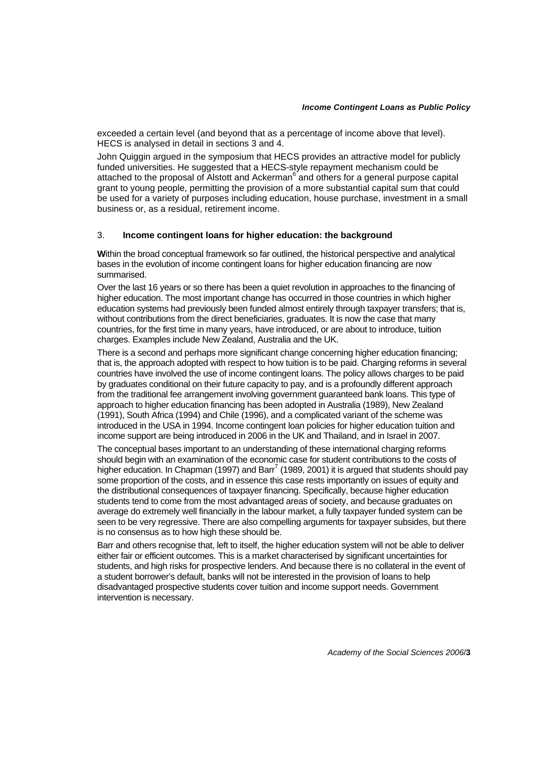exceeded a certain level (and beyond that as a percentage of income above that level). HECS is analysed in detail in sections 3 and 4.

John Quiggin argued in the symposium that HECS provides an attractive model for publicly funded universities. He suggested that a HECS-style repayment mechanism could be attached to the proposal of Alstott and Ackerman<sup>6</sup> and others for a general purpose capital grant to young people, permitting the provision of a more substantial capital sum that could be used for a variety of purposes including education, house purchase, investment in a small business or, as a residual, retirement income.

#### 3. **Income contingent loans for higher education: the background**

**W**ithin the broad conceptual framework so far outlined, the historical perspective and analytical bases in the evolution of income contingent loans for higher education financing are now summarised.

Over the last 16 years or so there has been a quiet revolution in approaches to the financing of higher education. The most important change has occurred in those countries in which higher education systems had previously been funded almost entirely through taxpayer transfers; that is, without contributions from the direct beneficiaries, graduates. It is now the case that many countries, for the first time in many years, have introduced, or are about to introduce, tuition charges. Examples include New Zealand, Australia and the UK.

There is a second and perhaps more significant change concerning higher education financing; that is, the approach adopted with respect to how tuition is to be paid. Charging reforms in several countries have involved the use of income contingent loans. The policy allows charges to be paid by graduates conditional on their future capacity to pay, and is a profoundly different approach from the traditional fee arrangement involving government guaranteed bank loans. This type of approach to higher education financing has been adopted in Australia (1989), New Zealand (1991), South Africa (1994) and Chile (1996), and a complicated variant of the scheme was introduced in the USA in 1994. Income contingent loan policies for higher education tuition and income support are being introduced in 2006 in the UK and Thailand, and in Israel in 2007.

The conceptual bases important to an understanding of these international charging reforms should begin with an examination of the economic case for student contributions to the costs of higher education. In Chapman (1997) and Barr<sup>7</sup> (1989, 2001) it is argued that students should pay some proportion of the costs, and in essence this case rests importantly on issues of equity and the distributional consequences of taxpayer financing. Specifically, because higher education students tend to come from the most advantaged areas of society, and because graduates on average do extremely well financially in the labour market, a fully taxpayer funded system can be seen to be very regressive. There are also compelling arguments for taxpayer subsides, but there is no consensus as to how high these should be.

Barr and others recognise that, left to itself, the higher education system will not be able to deliver either fair or efficient outcomes. This is a market characterised by significant uncertainties for students, and high risks for prospective lenders. And because there is no collateral in the event of a student borrower's default, banks will not be interested in the provision of loans to help disadvantaged prospective students cover tuition and income support needs. Government intervention is necessary.

*Academy of the Social Sciences 2006*/**3**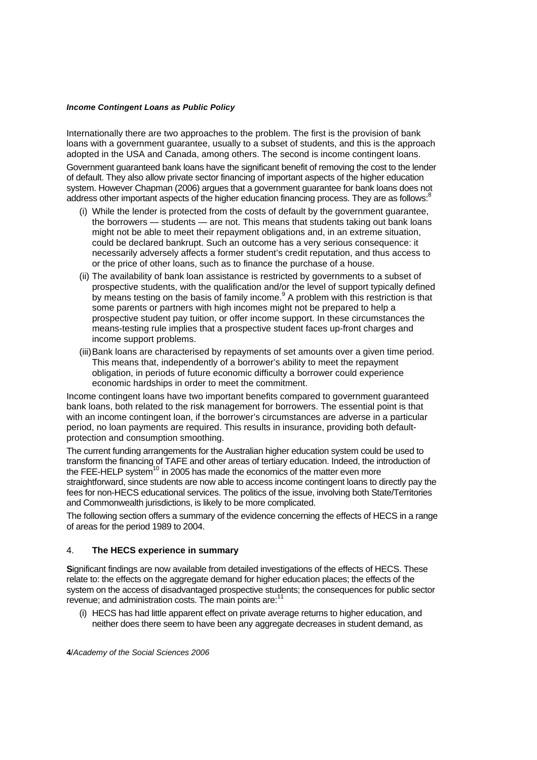Internationally there are two approaches to the problem. The first is the provision of bank loans with a government guarantee, usually to a subset of students, and this is the approach adopted in the USA and Canada, among others. The second is income contingent loans.

Government guaranteed bank loans have the significant benefit of removing the cost to the lender of default. They also allow private sector financing of important aspects of the higher education system. However Chapman (2006) argues that a government guarantee for bank loans does not address other important aspects of the higher education financing process. They are as follows:<sup>8</sup>

- (i) While the lender is protected from the costs of default by the government guarantee, the borrowers — students — are not. This means that students taking out bank loans might not be able to meet their repayment obligations and, in an extreme situation, could be declared bankrupt. Such an outcome has a very serious consequence: it necessarily adversely affects a former student's credit reputation, and thus access to or the price of other loans, such as to finance the purchase of a house.
- (ii) The availability of bank loan assistance is restricted by governments to a subset of prospective students, with the qualification and/or the level of support typically defined by means testing on the basis of family income. $9A$  problem with this restriction is that some parents or partners with high incomes might not be prepared to help a prospective student pay tuition, or offer income support. In these circumstances the means-testing rule implies that a prospective student faces up-front charges and income support problems.
- (iii) Bank loans are characterised by repayments of set amounts over a given time period. This means that, independently of a borrower's ability to meet the repayment obligation, in periods of future economic difficulty a borrower could experience economic hardships in order to meet the commitment.

Income contingent loans have two important benefits compared to government guaranteed bank loans, both related to the risk management for borrowers. The essential point is that with an income contingent loan, if the borrower's circumstances are adverse in a particular period, no loan payments are required. This results in insurance, providing both defaultprotection and consumption smoothing.

The current funding arrangements for the Australian higher education system could be used to transform the financing of TAFE and other areas of tertiary education. Indeed, the introduction of the FEE-HELP system<sup>10</sup> in 2005 has made the economics of the matter even more straightforward, since students are now able to access income contingent loans to directly pay the fees for non-HECS educational services. The politics of the issue, involving both State/Territories and Commonwealth jurisdictions, is likely to be more complicated.

The following section offers a summary of the evidence concerning the effects of HECS in a range of areas for the period 1989 to 2004.

#### 4. **The HECS experience in summary**

**S**ignificant findings are now available from detailed investigations of the effects of HECS. These relate to: the effects on the aggregate demand for higher education places; the effects of the system on the access of disadvantaged prospective students; the consequences for public sector revenue; and administration costs. The main points are:<sup>11</sup>

(i) HECS has had little apparent effect on private average returns to higher education, and neither does there seem to have been any aggregate decreases in student demand, as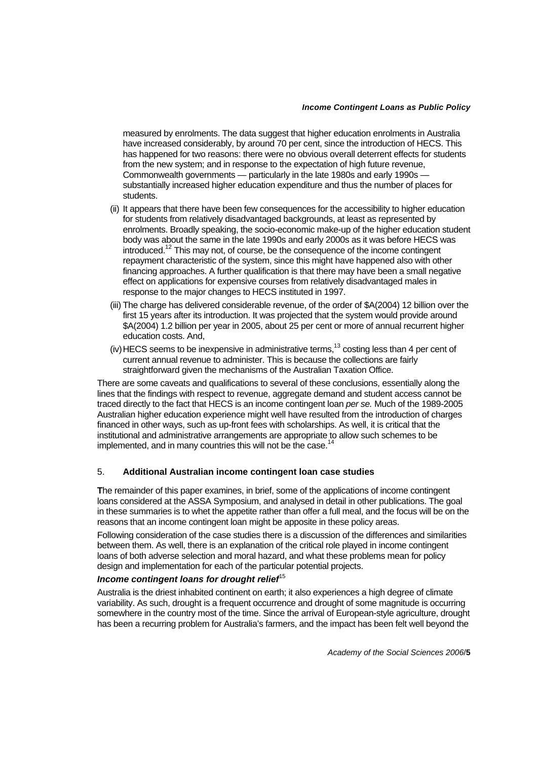measured by enrolments. The data suggest that higher education enrolments in Australia have increased considerably, by around 70 per cent, since the introduction of HECS. This has happened for two reasons: there were no obvious overall deterrent effects for students from the new system; and in response to the expectation of high future revenue, Commonwealth governments — particularly in the late 1980s and early 1990s substantially increased higher education expenditure and thus the number of places for students.

- (ii) It appears that there have been few consequences for the accessibility to higher education for students from relatively disadvantaged backgrounds, at least as represented by enrolments. Broadly speaking, the socio-economic make-up of the higher education student body was about the same in the late 1990s and early 2000s as it was before HECS was introduced.12 This may not, of course, be the consequence of the income contingent repayment characteristic of the system, since this might have happened also with other financing approaches. A further qualification is that there may have been a small negative effect on applications for expensive courses from relatively disadvantaged males in response to the major changes to HECS instituted in 1997.
- (iii) The charge has delivered considerable revenue, of the order of \$A(2004) 12 billion over the first 15 years after its introduction. It was projected that the system would provide around \$A(2004) 1.2 billion per year in 2005, about 25 per cent or more of annual recurrent higher education costs. And,
- (iv) HECS seems to be inexpensive in administrative terms,<sup>13</sup> costing less than 4 per cent of current annual revenue to administer. This is because the collections are fairly straightforward given the mechanisms of the Australian Taxation Office.

There are some caveats and qualifications to several of these conclusions, essentially along the lines that the findings with respect to revenue, aggregate demand and student access cannot be traced directly to the fact that HECS is an income contingent loan *per se.* Much of the 1989-2005 Australian higher education experience might well have resulted from the introduction of charges financed in other ways, such as up-front fees with scholarships. As well, it is critical that the institutional and administrative arrangements are appropriate to allow such schemes to be implemented, and in many countries this will not be the case.<sup>14</sup>

## 5. **Additional Australian income contingent loan case studies**

**T**he remainder of this paper examines, in brief, some of the applications of income contingent loans considered at the ASSA Symposium, and analysed in detail in other publications. The goal in these summaries is to whet the appetite rather than offer a full meal, and the focus will be on the reasons that an income contingent loan might be apposite in these policy areas.

Following consideration of the case studies there is a discussion of the differences and similarities between them. As well, there is an explanation of the critical role played in income contingent loans of both adverse selection and moral hazard, and what these problems mean for policy design and implementation for each of the particular potential projects.

## *Income contingent loans for drought relief<sup>15</sup>*

Australia is the driest inhabited continent on earth; it also experiences a high degree of climate variability. As such, drought is a frequent occurrence and drought of some magnitude is occurring somewhere in the country most of the time. Since the arrival of European-style agriculture, drought has been a recurring problem for Australia's farmers, and the impact has been felt well beyond the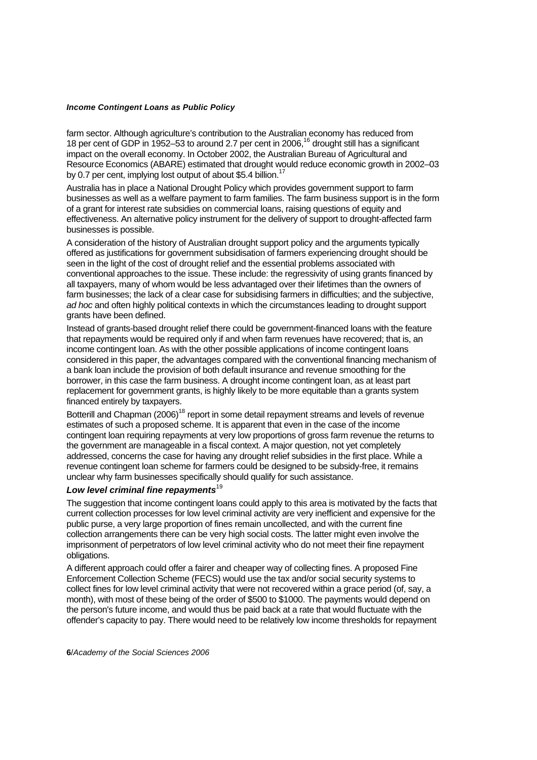farm sector. Although agriculture's contribution to the Australian economy has reduced from 18 per cent of GDP in 1952–53 to around 2.7 per cent in 2006,<sup>16</sup> drought still has a significant impact on the overall economy. In October 2002, the Australian Bureau of Agricultural and Resource Economics (ABARE) estimated that drought would reduce economic growth in 2002–03 by 0.7 per cent, implying lost output of about \$5.4 billion.<sup>1</sup>

Australia has in place a National Drought Policy which provides government support to farm businesses as well as a welfare payment to farm families. The farm business support is in the form of a grant for interest rate subsidies on commercial loans, raising questions of equity and effectiveness. An alternative policy instrument for the delivery of support to drought-affected farm businesses is possible.

A consideration of the history of Australian drought support policy and the arguments typically offered as justifications for government subsidisation of farmers experiencing drought should be seen in the light of the cost of drought relief and the essential problems associated with conventional approaches to the issue. These include: the regressivity of using grants financed by all taxpayers, many of whom would be less advantaged over their lifetimes than the owners of farm businesses; the lack of a clear case for subsidising farmers in difficulties; and the subjective, *ad hoc* and often highly political contexts in which the circumstances leading to drought support grants have been defined.

Instead of grants-based drought relief there could be government-financed loans with the feature that repayments would be required only if and when farm revenues have recovered; that is, an income contingent loan. As with the other possible applications of income contingent loans considered in this paper, the advantages compared with the conventional financing mechanism of a bank loan include the provision of both default insurance and revenue smoothing for the borrower, in this case the farm business. A drought income contingent loan, as at least part replacement for government grants, is highly likely to be more equitable than a grants system financed entirely by taxpayers.

Botterill and Chapman (2006)<sup>18</sup> report in some detail repayment streams and levels of revenue estimates of such a proposed scheme. It is apparent that even in the case of the income contingent loan requiring repayments at very low proportions of gross farm revenue the returns to the government are manageable in a fiscal context. A major question, not yet completely addressed, concerns the case for having any drought relief subsidies in the first place. While a revenue contingent loan scheme for farmers could be designed to be subsidy-free, it remains unclear why farm businesses specifically should qualify for such assistance.

## Low level criminal fine repayments<sup>19</sup>

The suggestion that income contingent loans could apply to this area is motivated by the facts that current collection processes for low level criminal activity are very inefficient and expensive for the public purse, a very large proportion of fines remain uncollected, and with the current fine collection arrangements there can be very high social costs. The latter might even involve the imprisonment of perpetrators of low level criminal activity who do not meet their fine repayment obligations.

A different approach could offer a fairer and cheaper way of collecting fines. A proposed Fine Enforcement Collection Scheme (FECS) would use the tax and/or social security systems to collect fines for low level criminal activity that were not recovered within a grace period (of, say, a month), with most of these being of the order of \$500 to \$1000. The payments would depend on the person's future income, and would thus be paid back at a rate that would fluctuate with the offender's capacity to pay. There would need to be relatively low income thresholds for repayment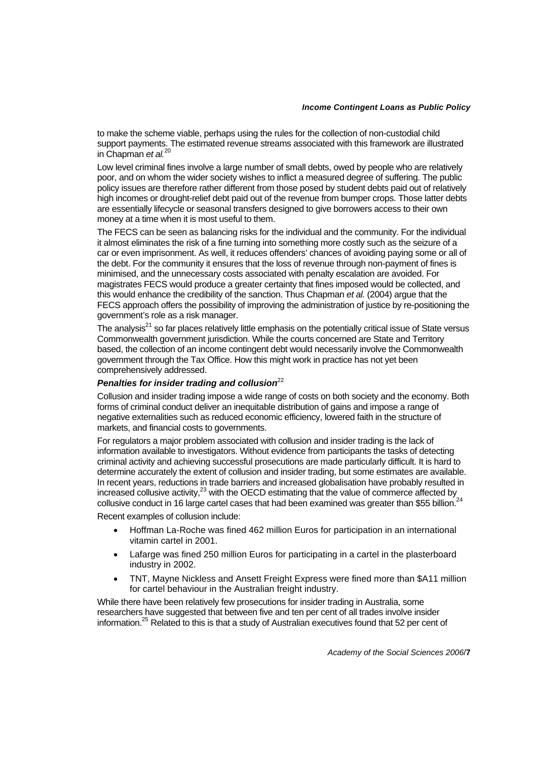to make the scheme viable, perhaps using the rules for the collection of non-custodial child support payments. The estimated revenue streams associated with this framework are illustrated in Chapman *et al.*<sup>20</sup>

Low level criminal fines involve a large number of small debts, owed by people who are relatively poor, and on whom the wider society wishes to inflict a measured degree of suffering. The public policy issues are therefore rather different from those posed by student debts paid out of relatively high incomes or drought-relief debt paid out of the revenue from bumper crops. Those latter debts are essentially lifecycle or seasonal transfers designed to give borrowers access to their own money at a time when it is most useful to them.

The FECS can be seen as balancing risks for the individual and the community. For the individual it almost eliminates the risk of a fine turning into something more costly such as the seizure of a car or even imprisonment. As well, it reduces offenders' chances of avoiding paying some or all of the debt. For the community it ensures that the loss of revenue through non-payment of fines is minimised, and the unnecessary costs associated with penalty escalation are avoided. For magistrates FECS would produce a greater certainty that fines imposed would be collected, and this would enhance the credibility of the sanction. Thus Chapman *et al.* (2004) argue that the FECS approach offers the possibility of improving the administration of justice by re-positioning the government's role as a risk manager.

The analysis $^{21}$  so far places relatively little emphasis on the potentially critical issue of State versus Commonwealth government jurisdiction. While the courts concerned are State and Territory based, the collection of an income contingent debt would necessarily involve the Commonwealth government through the Tax Office. How this might work in practice has not yet been comprehensively addressed.

### *Penalties for insider trading and collusion*<sup>22</sup>

Collusion and insider trading impose a wide range of costs on both society and the economy. Both forms of criminal conduct deliver an inequitable distribution of gains and impose a range of negative externalities such as reduced economic efficiency, lowered faith in the structure of markets, and financial costs to governments.

For regulators a major problem associated with collusion and insider trading is the lack of information available to investigators. Without evidence from participants the tasks of detecting criminal activity and achieving successful prosecutions are made particularly difficult. It is hard to determine accurately the extent of collusion and insider trading, but some estimates are available. In recent years, reductions in trade barriers and increased globalisation have probably resulted in In recent years, require is in trade partiers and increased subdividendent commerce affected by<br>increased collusive activity,<sup>23</sup> with the OECD estimating that the value of commerce affected by collusive conduct in 16 large cartel cases that had been examined was greater than \$55 billion.

Recent examples of collusion include:

- Hoffman La-Roche was fined 462 million Euros for participation in an international vitamin cartel in 2001.
- Lafarge was fined 250 million Euros for participating in a cartel in the plasterboard industry in 2002.
- TNT, Mayne Nickless and Ansett Freight Express were fined more than \$A11 million for cartel behaviour in the Australian freight industry.

While there have been relatively few prosecutions for insider trading in Australia, some researchers have suggested that between five and ten per cent of all trades involve insider information.<sup>25</sup> Related to this is that a study of Australian executives found that 52 per cent of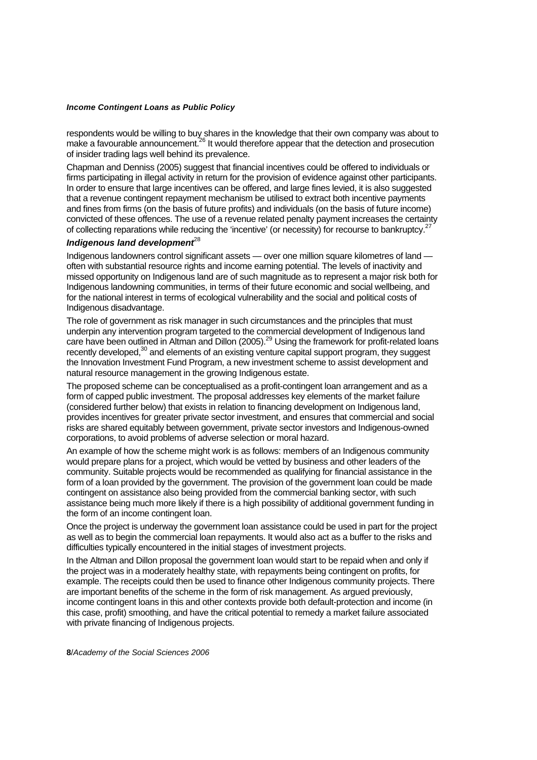respondents would be willing to buy shares in the knowledge that their own company was about to make a favourable announcement.<sup>26</sup> It would therefore appear that the detection and prosecution of insider trading lags well behind its prevalence.

Chapman and Denniss (2005) suggest that financial incentives could be offered to individuals or firms participating in illegal activity in return for the provision of evidence against other participants. In order to ensure that large incentives can be offered, and large fines levied, it is also suggested that a revenue contingent repayment mechanism be utilised to extract both incentive payments and fines from firms (on the basis of future profits) and individuals (on the basis of future income) convicted of these offences. The use of a revenue related penalty payment increases the certainty of collecting reparations while reducing the 'incentive' (or necessity) for recourse to bankruptcy.<sup>2</sup>

## *Indigenous land development*<sup>28</sup>

Indigenous landowners control significant assets — over one million square kilometres of land often with substantial resource rights and income earning potential. The levels of inactivity and missed opportunity on Indigenous land are of such magnitude as to represent a major risk both for Indigenous landowning communities, in terms of their future economic and social wellbeing, and for the national interest in terms of ecological vulnerability and the social and political costs of Indigenous disadvantage.

The role of government as risk manager in such circumstances and the principles that must underpin any intervention program targeted to the commercial development of Indigenous land care have been outlined in Altman and Dillon (2005).<sup>29</sup> Using the framework for profit-related loans recently developed.<sup>30</sup> and elements of an existing venture capital support program, they suggest the Innovation Investment Fund Program, a new investment scheme to assist development and natural resource management in the growing Indigenous estate.

The proposed scheme can be conceptualised as a profit-contingent loan arrangement and as a form of capped public investment. The proposal addresses key elements of the market failure (considered further below) that exists in relation to financing development on Indigenous land, provides incentives for greater private sector investment, and ensures that commercial and social risks are shared equitably between government, private sector investors and Indigenous-owned corporations, to avoid problems of adverse selection or moral hazard.

An example of how the scheme might work is as follows: members of an Indigenous community would prepare plans for a project, which would be vetted by business and other leaders of the community. Suitable projects would be recommended as qualifying for financial assistance in the form of a loan provided by the government. The provision of the government loan could be made contingent on assistance also being provided from the commercial banking sector, with such assistance being much more likely if there is a high possibility of additional government funding in the form of an income contingent loan.

Once the project is underway the government loan assistance could be used in part for the project as well as to begin the commercial loan repayments. It would also act as a buffer to the risks and difficulties typically encountered in the initial stages of investment projects.

In the Altman and Dillon proposal the government loan would start to be repaid when and only if the project was in a moderately healthy state, with repayments being contingent on profits, for example. The receipts could then be used to finance other Indigenous community projects. There are important benefits of the scheme in the form of risk management. As argued previously, income contingent loans in this and other contexts provide both default-protection and income (in this case, profit) smoothing, and have the critical potential to remedy a market failure associated with private financing of Indigenous projects.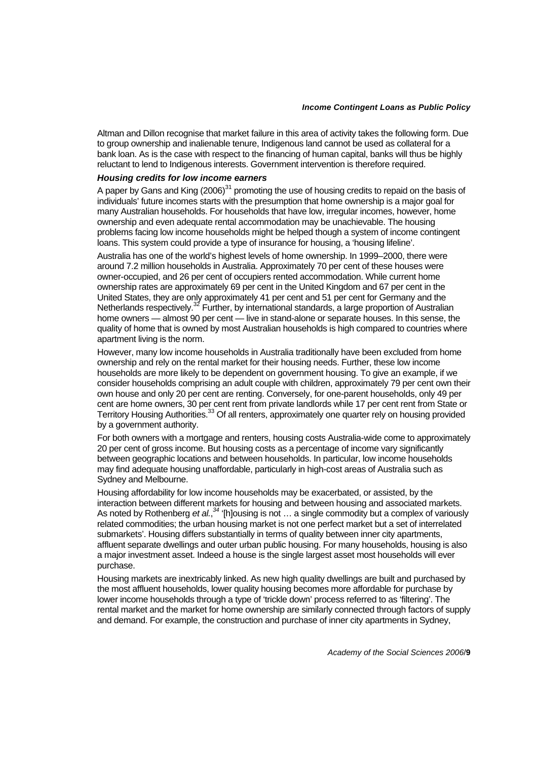Altman and Dillon recognise that market failure in this area of activity takes the following form. Due to group ownership and inalienable tenure, Indigenous land cannot be used as collateral for a bank loan. As is the case with respect to the financing of human capital, banks will thus be highly reluctant to lend to Indigenous interests. Government intervention is therefore required.

#### *Housing credits for low income earners*

A paper by Gans and King  $(2006)^{31}$  promoting the use of housing credits to repaid on the basis of individuals' future incomes starts with the presumption that home ownership is a major goal for many Australian households. For households that have low, irregular incomes, however, home ownership and even adequate rental accommodation may be unachievable. The housing problems facing low income households might be helped though a system of income contingent loans. This system could provide a type of insurance for housing, a 'housing lifeline'.

Australia has one of the world's highest levels of home ownership. In 1999–2000, there were around 7.2 million households in Australia. Approximately 70 per cent of these houses were owner-occupied, and 26 per cent of occupiers rented accommodation. While current home ownership rates are approximately 69 per cent in the United Kingdom and 67 per cent in the United States, they are only approximately 41 per cent and 51 per cent for Germany and the Netherlands respectively.<sup>32</sup> Further, by international standards, a large proportion of Australian home owners — almost 90 per cent — live in stand-alone or separate houses. In this sense, the quality of home that is owned by most Australian households is high compared to countries where apartment living is the norm.

However, many low income households in Australia traditionally have been excluded from home ownership and rely on the rental market for their housing needs. Further, these low income households are more likely to be dependent on government housing. To give an example, if we consider households comprising an adult couple with children, approximately 79 per cent own their own house and only 20 per cent are renting. Conversely, for one-parent households, only 49 per cent are home owners, 30 per cent rent from private landlords while 17 per cent rent from State or Territory Housing Authorities.<sup>33</sup> Of all renters, approximately one quarter rely on housing provided by a government authority.

For both owners with a mortgage and renters, housing costs Australia-wide come to approximately 20 per cent of gross income. But housing costs as a percentage of income vary significantly between geographic locations and between households. In particular, low income households may find adequate housing unaffordable, particularly in high-cost areas of Australia such as Sydney and Melbourne.

Housing affordability for low income households may be exacerbated, or assisted, by the interaction between different markets for housing and between housing and associated markets. As noted by Rothenberg *et al.*<sup>34</sup> '[h]ousing is not ... a single commodity but a complex of variously related commodities; the urban housing market is not one perfect market but a set of interrelated submarkets'. Housing differs substantially in terms of quality between inner city apartments, affluent separate dwellings and outer urban public housing. For many households, housing is also a major investment asset. Indeed a house is the single largest asset most households will ever purchase.

Housing markets are inextricably linked. As new high quality dwellings are built and purchased by the most affluent households, lower quality housing becomes more affordable for purchase by lower income households through a type of 'trickle down' process referred to as 'filtering'. The rental market and the market for home ownership are similarly connected through factors of supply and demand. For example, the construction and purchase of inner city apartments in Sydney,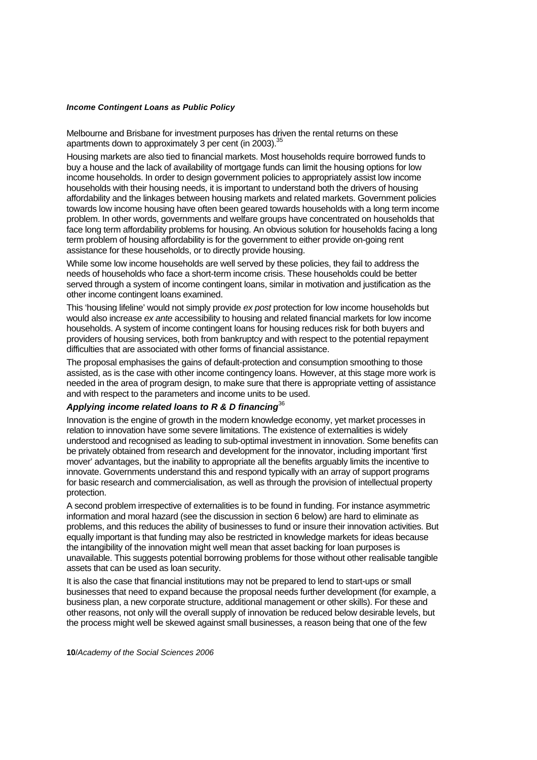Melbourne and Brisbane for investment purposes has driven the rental returns on these apartments down to approximately 3 per cent (in 2003).<sup>35</sup>

Housing markets are also tied to financial markets. Most households require borrowed funds to buy a house and the lack of availability of mortgage funds can limit the housing options for low income households. In order to design government policies to appropriately assist low income households with their housing needs, it is important to understand both the drivers of housing affordability and the linkages between housing markets and related markets. Government policies towards low income housing have often been geared towards households with a long term income problem. In other words, governments and welfare groups have concentrated on households that face long term affordability problems for housing. An obvious solution for households facing a long term problem of housing affordability is for the government to either provide on-going rent assistance for these households, or to directly provide housing.

While some low income households are well served by these policies, they fail to address the needs of households who face a short-term income crisis. These households could be better served through a system of income contingent loans, similar in motivation and justification as the other income contingent loans examined.

This 'housing lifeline' would not simply provide *ex post* protection for low income households but would also increase *ex ante* accessibility to housing and related financial markets for low income households. A system of income contingent loans for housing reduces risk for both buyers and providers of housing services, both from bankruptcy and with respect to the potential repayment difficulties that are associated with other forms of financial assistance.

The proposal emphasises the gains of default-protection and consumption smoothing to those assisted, as is the case with other income contingency loans. However, at this stage more work is needed in the area of program design, to make sure that there is appropriate vetting of assistance and with respect to the parameters and income units to be used.

## Applying income related loans to R & D financing<sup>36</sup>

Innovation is the engine of growth in the modern knowledge economy, yet market processes in relation to innovation have some severe limitations. The existence of externalities is widely understood and recognised as leading to sub-optimal investment in innovation. Some benefits can be privately obtained from research and development for the innovator, including important 'first mover' advantages, but the inability to appropriate all the benefits arguably limits the incentive to innovate. Governments understand this and respond typically with an array of support programs for basic research and commercialisation, as well as through the provision of intellectual property protection.

A second problem irrespective of externalities is to be found in funding. For instance asymmetric information and moral hazard (see the discussion in section 6 below) are hard to eliminate as problems, and this reduces the ability of businesses to fund or insure their innovation activities. But equally important is that funding may also be restricted in knowledge markets for ideas because the intangibility of the innovation might well mean that asset backing for loan purposes is unavailable. This suggests potential borrowing problems for those without other realisable tangible assets that can be used as loan security.

It is also the case that financial institutions may not be prepared to lend to start-ups or small businesses that need to expand because the proposal needs further development (for example, a business plan, a new corporate structure, additional management or other skills). For these and other reasons, not only will the overall supply of innovation be reduced below desirable levels, but the process might well be skewed against small businesses, a reason being that one of the few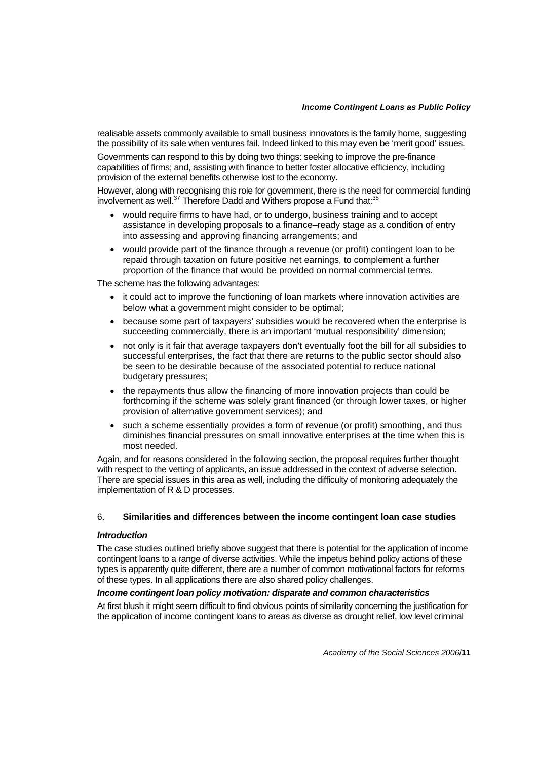realisable assets commonly available to small business innovators is the family home, suggesting the possibility of its sale when ventures fail. Indeed linked to this may even be 'merit good' issues. Governments can respond to this by doing two things: seeking to improve the pre-finance capabilities of firms; and, assisting with finance to better foster allocative efficiency, including provision of the external benefits otherwise lost to the economy.

However, along with recognising this role for government, there is the need for commercial funding involvement as well. $37$  Therefore Dadd and Withers propose a Fund that: $38$ 

- would require firms to have had, or to undergo, business training and to accept assistance in developing proposals to a finance–ready stage as a condition of entry into assessing and approving financing arrangements; and
- would provide part of the finance through a revenue (or profit) contingent loan to be repaid through taxation on future positive net earnings, to complement a further proportion of the finance that would be provided on normal commercial terms.

The scheme has the following advantages:

- it could act to improve the functioning of loan markets where innovation activities are below what a government might consider to be optimal;
- because some part of taxpayers' subsidies would be recovered when the enterprise is succeeding commercially, there is an important 'mutual responsibility' dimension;
- not only is it fair that average taxpayers don't eventually foot the bill for all subsidies to successful enterprises, the fact that there are returns to the public sector should also be seen to be desirable because of the associated potential to reduce national budgetary pressures;
- the repayments thus allow the financing of more innovation projects than could be forthcoming if the scheme was solely grant financed (or through lower taxes, or higher provision of alternative government services); and
- such a scheme essentially provides a form of revenue (or profit) smoothing, and thus diminishes financial pressures on small innovative enterprises at the time when this is most needed.

Again, and for reasons considered in the following section, the proposal requires further thought with respect to the vetting of applicants, an issue addressed in the context of adverse selection. There are special issues in this area as well, including the difficulty of monitoring adequately the implementation of R & D processes.

#### 6. **Similarities and differences between the income contingent loan case studies**

#### *Introduction*

**T**he case studies outlined briefly above suggest that there is potential for the application of income contingent loans to a range of diverse activities. While the impetus behind policy actions of these types is apparently quite different, there are a number of common motivational factors for reforms of these types. In all applications there are also shared policy challenges.

#### *Income contingent loan policy motivation: disparate and common characteristics*

At first blush it might seem difficult to find obvious points of similarity concerning the justification for the application of income contingent loans to areas as diverse as drought relief, low level criminal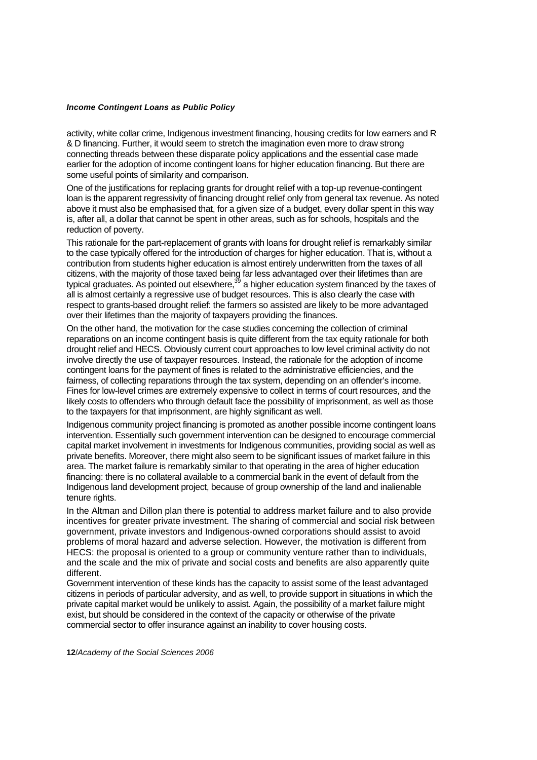activity, white collar crime, Indigenous investment financing, housing credits for low earners and R & D financing. Further, it would seem to stretch the imagination even more to draw strong connecting threads between these disparate policy applications and the essential case made earlier for the adoption of income contingent loans for higher education financing. But there are some useful points of similarity and comparison.

One of the justifications for replacing grants for drought relief with a top-up revenue-contingent loan is the apparent regressivity of financing drought relief only from general tax revenue. As noted above it must also be emphasised that, for a given size of a budget, every dollar spent in this way is, after all, a dollar that cannot be spent in other areas, such as for schools, hospitals and the reduction of poverty.

This rationale for the part-replacement of grants with loans for drought relief is remarkably similar to the case typically offered for the introduction of charges for higher education. That is, without a contribution from students higher education is almost entirely underwritten from the taxes of all citizens, with the majority of those taxed being far less advantaged over their lifetimes than are typical graduates. As pointed out elsewhere,<sup>39</sup> a higher education system financed by the taxes of typical graduates. As pointed out elsewhere,<sup>39</sup> a higher education system financed by the taxes of all is almost certainly a regressive use of budget resources. This is also clearly the case with respect to grants-based drought relief: the farmers so assisted are likely to be more advantaged over their lifetimes than the majority of taxpayers providing the finances.

On the other hand, the motivation for the case studies concerning the collection of criminal reparations on an income contingent basis is quite different from the tax equity rationale for both drought relief and HECS. Obviously current court approaches to low level criminal activity do not involve directly the use of taxpayer resources. Instead, the rationale for the adoption of income contingent loans for the payment of fines is related to the administrative efficiencies, and the fairness, of collecting reparations through the tax system, depending on an offender's income. Fines for low-level crimes are extremely expensive to collect in terms of court resources, and the likely costs to offenders who through default face the possibility of imprisonment, as well as those to the taxpayers for that imprisonment, are highly significant as well.

Indigenous community project financing is promoted as another possible income contingent loans intervention. Essentially such government intervention can be designed to encourage commercial capital market involvement in investments for Indigenous communities, providing social as well as private benefits. Moreover, there might also seem to be significant issues of market failure in this area. The market failure is remarkably similar to that operating in the area of higher education financing: there is no collateral available to a commercial bank in the event of default from the Indigenous land development project, because of group ownership of the land and inalienable tenure rights.

In the Altman and Dillon plan there is potential to address market failure and to also provide incentives for greater private investment. The sharing of commercial and social risk between government, private investors and Indigenous-owned corporations should assist to avoid problems of moral hazard and adverse selection. However, the motivation is different from HECS: the proposal is oriented to a group or community venture rather than to individuals, and the scale and the mix of private and social costs and benefits are also apparently quite different.

Government intervention of these kinds has the capacity to assist some of the least advantaged citizens in periods of particular adversity, and as well, to provide support in situations in which the private capital market would be unlikely to assist. Again, the possibility of a market failure might exist, but should be considered in the context of the capacity or otherwise of the private commercial sector to offer insurance against an inability to cover housing costs.

**12**/*Academy of the Social Sciences 2006*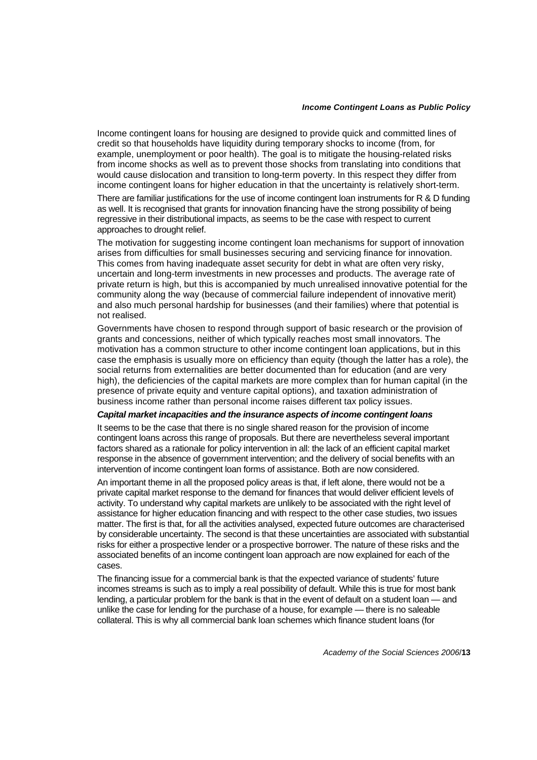Income contingent loans for housing are designed to provide quick and committed lines of credit so that households have liquidity during temporary shocks to income (from, for example, unemployment or poor health). The goal is to mitigate the housing-related risks from income shocks as well as to prevent those shocks from translating into conditions that would cause dislocation and transition to long-term poverty. In this respect they differ from income contingent loans for higher education in that the uncertainty is relatively short-term.

There are familiar justifications for the use of income contingent loan instruments for R & D funding as well. It is recognised that grants for innovation financing have the strong possibility of being regressive in their distributional impacts, as seems to be the case with respect to current approaches to drought relief.

The motivation for suggesting income contingent loan mechanisms for support of innovation arises from difficulties for small businesses securing and servicing finance for innovation. This comes from having inadequate asset security for debt in what are often very risky, uncertain and long-term investments in new processes and products. The average rate of private return is high, but this is accompanied by much unrealised innovative potential for the community along the way (because of commercial failure independent of innovative merit) and also much personal hardship for businesses (and their families) where that potential is not realised.

Governments have chosen to respond through support of basic research or the provision of grants and concessions, neither of which typically reaches most small innovators. The motivation has a common structure to other income contingent loan applications, but in this case the emphasis is usually more on efficiency than equity (though the latter has a role), the social returns from externalities are better documented than for education (and are very high), the deficiencies of the capital markets are more complex than for human capital (in the presence of private equity and venture capital options), and taxation administration of business income rather than personal income raises different tax policy issues.

#### *Capital market incapacities and the insurance aspects of income contingent loans*

It seems to be the case that there is no single shared reason for the provision of income contingent loans across this range of proposals. But there are nevertheless several important factors shared as a rationale for policy intervention in all: the lack of an efficient capital market response in the absence of government intervention; and the delivery of social benefits with an intervention of income contingent loan forms of assistance. Both are now considered.

An important theme in all the proposed policy areas is that, if left alone, there would not be a private capital market response to the demand for finances that would deliver efficient levels of activity. To understand why capital markets are unlikely to be associated with the right level of assistance for higher education financing and with respect to the other case studies, two issues matter. The first is that, for all the activities analysed, expected future outcomes are characterised by considerable uncertainty. The second is that these uncertainties are associated with substantial risks for either a prospective lender or a prospective borrower. The nature of these risks and the associated benefits of an income contingent loan approach are now explained for each of the cases.

The financing issue for a commercial bank is that the expected variance of students' future incomes streams is such as to imply a real possibility of default. While this is true for most bank lending, a particular problem for the bank is that in the event of default on a student loan — and unlike the case for lending for the purchase of a house, for example — there is no saleable collateral. This is why all commercial bank loan schemes which finance student loans (for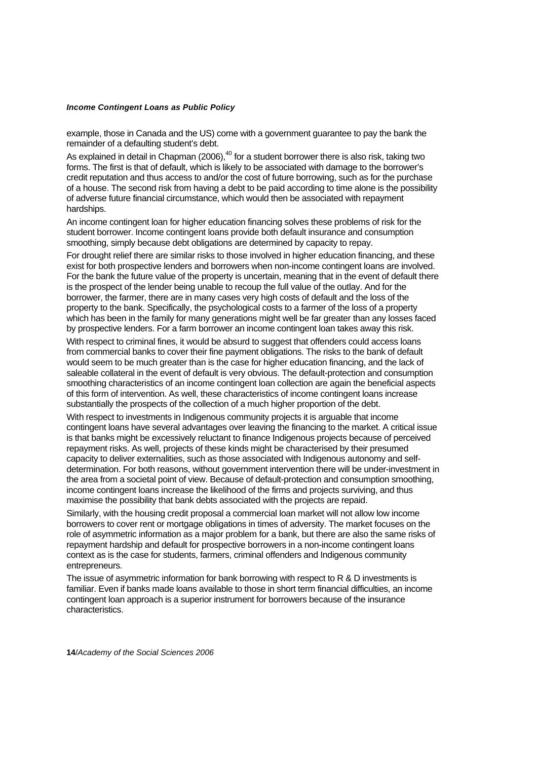example, those in Canada and the US) come with a government guarantee to pay the bank the remainder of a defaulting student's debt.

As explained in detail in Chapman (2006), $40$  for a student borrower there is also risk, taking two forms. The first is that of default, which is likely to be associated with damage to the borrower's credit reputation and thus access to and/or the cost of future borrowing, such as for the purchase of a house. The second risk from having a debt to be paid according to time alone is the possibility of adverse future financial circumstance, which would then be associated with repayment hardships.

An income contingent loan for higher education financing solves these problems of risk for the student borrower. Income contingent loans provide both default insurance and consumption smoothing, simply because debt obligations are determined by capacity to repay.

For drought relief there are similar risks to those involved in higher education financing, and these exist for both prospective lenders and borrowers when non-income contingent loans are involved. For the bank the future value of the property is uncertain, meaning that in the event of default there is the prospect of the lender being unable to recoup the full value of the outlay. And for the borrower, the farmer, there are in many cases very high costs of default and the loss of the property to the bank. Specifically, the psychological costs to a farmer of the loss of a property which has been in the family for many generations might well be far greater than any losses faced by prospective lenders. For a farm borrower an income contingent loan takes away this risk.

With respect to criminal fines, it would be absurd to suggest that offenders could access loans from commercial banks to cover their fine payment obligations. The risks to the bank of default would seem to be much greater than is the case for higher education financing, and the lack of saleable collateral in the event of default is very obvious. The default-protection and consumption smoothing characteristics of an income contingent loan collection are again the beneficial aspects of this form of intervention. As well, these characteristics of income contingent loans increase substantially the prospects of the collection of a much higher proportion of the debt.

With respect to investments in Indigenous community projects it is arguable that income contingent loans have several advantages over leaving the financing to the market. A critical issue is that banks might be excessively reluctant to finance Indigenous projects because of perceived repayment risks. As well, projects of these kinds might be characterised by their presumed capacity to deliver externalities, such as those associated with Indigenous autonomy and selfdetermination. For both reasons, without government intervention there will be under-investment in the area from a societal point of view. Because of default-protection and consumption smoothing, income contingent loans increase the likelihood of the firms and projects surviving, and thus maximise the possibility that bank debts associated with the projects are repaid.

Similarly, with the housing credit proposal a commercial loan market will not allow low income borrowers to cover rent or mortgage obligations in times of adversity. The market focuses on the role of asymmetric information as a major problem for a bank, but there are also the same risks of repayment hardship and default for prospective borrowers in a non-income contingent loans context as is the case for students, farmers, criminal offenders and Indigenous community entrepreneurs.

The issue of asymmetric information for bank borrowing with respect to R & D investments is familiar. Even if banks made loans available to those in short term financial difficulties, an income contingent loan approach is a superior instrument for borrowers because of the insurance characteristics.

**14**/*Academy of the Social Sciences 2006*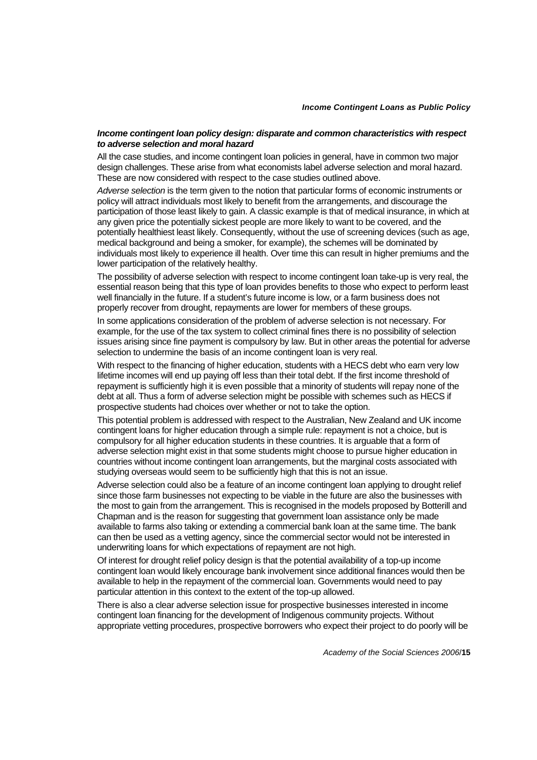#### *Income contingent loan policy design: disparate and common characteristics with respect to adverse selection and moral hazard*

All the case studies, and income contingent loan policies in general, have in common two major design challenges. These arise from what economists label adverse selection and moral hazard. These are now considered with respect to the case studies outlined above.

*Adverse selection* is the term given to the notion that particular forms of economic instruments or policy will attract individuals most likely to benefit from the arrangements, and discourage the participation of those least likely to gain. A classic example is that of medical insurance, in which at any given price the potentially sickest people are more likely to want to be covered, and the potentially healthiest least likely. Consequently, without the use of screening devices (such as age, medical background and being a smoker, for example), the schemes will be dominated by individuals most likely to experience ill health. Over time this can result in higher premiums and the lower participation of the relatively healthy.

The possibility of adverse selection with respect to income contingent loan take-up is very real, the essential reason being that this type of loan provides benefits to those who expect to perform least well financially in the future. If a student's future income is low, or a farm business does not properly recover from drought, repayments are lower for members of these groups.

In some applications consideration of the problem of adverse selection is not necessary. For example, for the use of the tax system to collect criminal fines there is no possibility of selection issues arising since fine payment is compulsory by law. But in other areas the potential for adverse selection to undermine the basis of an income contingent loan is very real.

With respect to the financing of higher education, students with a HECS debt who earn very low lifetime incomes will end up paying off less than their total debt. If the first income threshold of repayment is sufficiently high it is even possible that a minority of students will repay none of the debt at all. Thus a form of adverse selection might be possible with schemes such as HECS if prospective students had choices over whether or not to take the option.

This potential problem is addressed with respect to the Australian, New Zealand and UK income contingent loans for higher education through a simple rule: repayment is not a choice, but is compulsory for all higher education students in these countries. It is arguable that a form of adverse selection might exist in that some students might choose to pursue higher education in countries without income contingent loan arrangements, but the marginal costs associated with studying overseas would seem to be sufficiently high that this is not an issue.

Adverse selection could also be a feature of an income contingent loan applying to drought relief since those farm businesses not expecting to be viable in the future are also the businesses with the most to gain from the arrangement. This is recognised in the models proposed by Botterill and Chapman and is the reason for suggesting that government loan assistance only be made available to farms also taking or extending a commercial bank loan at the same time. The bank can then be used as a vetting agency, since the commercial sector would not be interested in underwriting loans for which expectations of repayment are not high.

Of interest for drought relief policy design is that the potential availability of a top-up income contingent loan would likely encourage bank involvement since additional finances would then be available to help in the repayment of the commercial loan. Governments would need to pay particular attention in this context to the extent of the top-up allowed.

There is also a clear adverse selection issue for prospective businesses interested in income contingent loan financing for the development of Indigenous community projects. Without appropriate vetting procedures, prospective borrowers who expect their project to do poorly will be

*Academy of the Social Sciences 2006*/**15**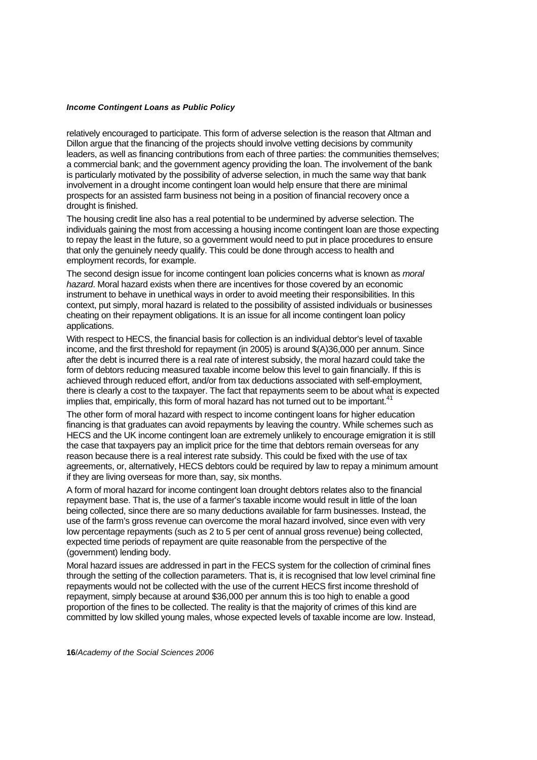relatively encouraged to participate. This form of adverse selection is the reason that Altman and Dillon argue that the financing of the projects should involve vetting decisions by community leaders, as well as financing contributions from each of three parties: the communities themselves; a commercial bank; and the government agency providing the loan. The involvement of the bank is particularly motivated by the possibility of adverse selection, in much the same way that bank involvement in a drought income contingent loan would help ensure that there are minimal prospects for an assisted farm business not being in a position of financial recovery once a drought is finished.

The housing credit line also has a real potential to be undermined by adverse selection. The individuals gaining the most from accessing a housing income contingent loan are those expecting to repay the least in the future, so a government would need to put in place procedures to ensure that only the genuinely needy qualify. This could be done through access to health and employment records, for example.

The second design issue for income contingent loan policies concerns what is known as *moral hazard*. Moral hazard exists when there are incentives for those covered by an economic instrument to behave in unethical ways in order to avoid meeting their responsibilities. In this context, put simply, moral hazard is related to the possibility of assisted individuals or businesses cheating on their repayment obligations. It is an issue for all income contingent loan policy applications.

With respect to HECS, the financial basis for collection is an individual debtor's level of taxable income, and the first threshold for repayment (in 2005) is around \$(A)36,000 per annum. Since after the debt is incurred there is a real rate of interest subsidy, the moral hazard could take the form of debtors reducing measured taxable income below this level to gain financially. If this is achieved through reduced effort, and/or from tax deductions associated with self-employment, there is clearly a cost to the taxpayer. The fact that repayments seem to be about what is expected implies that, empirically, this form of moral hazard has not turned out to be important.<sup>4</sup>

The other form of moral hazard with respect to income contingent loans for higher education financing is that graduates can avoid repayments by leaving the country. While schemes such as HECS and the UK income contingent loan are extremely unlikely to encourage emigration it is still the case that taxpayers pay an implicit price for the time that debtors remain overseas for any reason because there is a real interest rate subsidy. This could be fixed with the use of tax agreements, or, alternatively, HECS debtors could be required by law to repay a minimum amount if they are living overseas for more than, say, six months.

A form of moral hazard for income contingent loan drought debtors relates also to the financial repayment base. That is, the use of a farmer's taxable income would result in little of the loan being collected, since there are so many deductions available for farm businesses. Instead, the use of the farm's gross revenue can overcome the moral hazard involved, since even with very low percentage repayments (such as 2 to 5 per cent of annual gross revenue) being collected, expected time periods of repayment are quite reasonable from the perspective of the (government) lending body.

Moral hazard issues are addressed in part in the FECS system for the collection of criminal fines through the setting of the collection parameters. That is, it is recognised that low level criminal fine repayments would not be collected with the use of the current HECS first income threshold of repayment, simply because at around \$36,000 per annum this is too high to enable a good proportion of the fines to be collected. The reality is that the majority of crimes of this kind are committed by low skilled young males, whose expected levels of taxable income are low. Instead,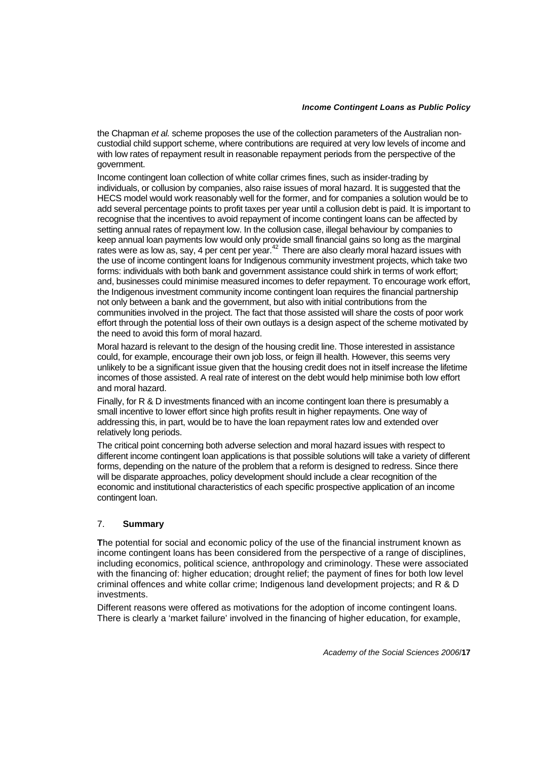the Chapman *et al.* scheme proposes the use of the collection parameters of the Australian noncustodial child support scheme, where contributions are required at very low levels of income and with low rates of repayment result in reasonable repayment periods from the perspective of the government.

Income contingent loan collection of white collar crimes fines, such as insider-trading by individuals, or collusion by companies, also raise issues of moral hazard. It is suggested that the HECS model would work reasonably well for the former, and for companies a solution would be to add several percentage points to profit taxes per year until a collusion debt is paid. It is important to recognise that the incentives to avoid repayment of income contingent loans can be affected by setting annual rates of repayment low. In the collusion case, illegal behaviour by companies to keep annual loan payments low would only provide small financial gains so long as the marginal rates were as low as, say, 4 per cent per year.<sup>42</sup> There are also clearly moral hazard issues with the use of income contingent loans for Indigenous community investment projects, which take two forms: individuals with both bank and government assistance could shirk in terms of work effort; and, businesses could minimise measured incomes to defer repayment. To encourage work effort, the Indigenous investment community income contingent loan requires the financial partnership not only between a bank and the government, but also with initial contributions from the communities involved in the project. The fact that those assisted will share the costs of poor work effort through the potential loss of their own outlays is a design aspect of the scheme motivated by the need to avoid this form of moral hazard.

Moral hazard is relevant to the design of the housing credit line. Those interested in assistance could, for example, encourage their own job loss, or feign ill health. However, this seems very unlikely to be a significant issue given that the housing credit does not in itself increase the lifetime incomes of those assisted. A real rate of interest on the debt would help minimise both low effort and moral hazard.

Finally, for R & D investments financed with an income contingent loan there is presumably a small incentive to lower effort since high profits result in higher repayments. One way of addressing this, in part, would be to have the loan repayment rates low and extended over relatively long periods.

The critical point concerning both adverse selection and moral hazard issues with respect to different income contingent loan applications is that possible solutions will take a variety of different forms, depending on the nature of the problem that a reform is designed to redress. Since there will be disparate approaches, policy development should include a clear recognition of the economic and institutional characteristics of each specific prospective application of an income contingent loan.

## 7. **Summary**

**T**he potential for social and economic policy of the use of the financial instrument known as income contingent loans has been considered from the perspective of a range of disciplines, including economics, political science, anthropology and criminology. These were associated with the financing of: higher education; drought relief; the payment of fines for both low level criminal offences and white collar crime; Indigenous land development projects; and R & D investments.

Different reasons were offered as motivations for the adoption of income contingent loans. There is clearly a 'market failure' involved in the financing of higher education, for example,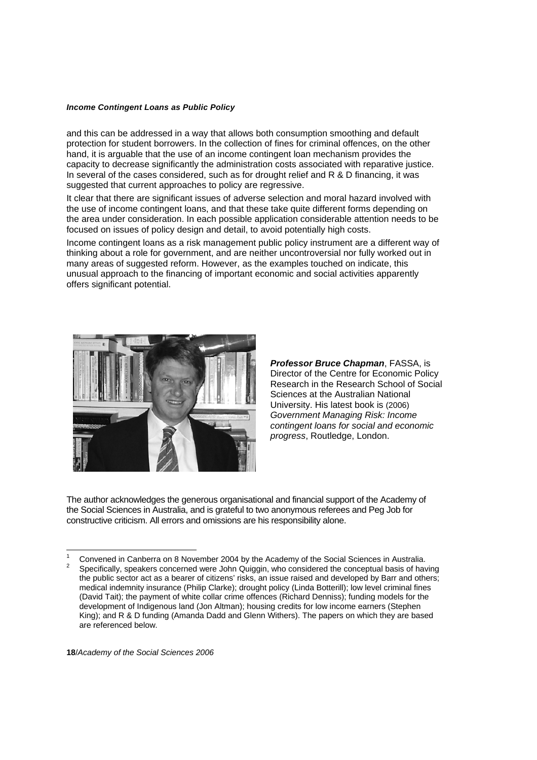and this can be addressed in a way that allows both consumption smoothing and default protection for student borrowers. In the collection of fines for criminal offences, on the other hand, it is arguable that the use of an income contingent loan mechanism provides the capacity to decrease significantly the administration costs associated with reparative justice. In several of the cases considered, such as for drought relief and R & D financing, it was suggested that current approaches to policy are regressive.

It clear that there are significant issues of adverse selection and moral hazard involved with the use of income contingent loans, and that these take quite different forms depending on the area under consideration. In each possible application considerable attention needs to be focused on issues of policy design and detail, to avoid potentially high costs.

Income contingent loans as a risk management public policy instrument are a different way of thinking about a role for government, and are neither uncontroversial nor fully worked out in many areas of suggested reform. However, as the examples touched on indicate, this unusual approach to the financing of important economic and social activities apparently offers significant potential.



*Professor Bruce Chapman*, FASSA, is Director of the Centre for Economic Policy Research in the Research School of Social Sciences at the Australian National University. His latest book is (2006) *Government Managing Risk: Income contingent loans for social and economic progress*, Routledge, London.

The author acknowledges the generous organisational and financial support of the Academy of the Social Sciences in Australia, and is grateful to two anonymous referees and Peg Job for constructive criticism. All errors and omissions are his responsibility alone.

**18**/*Academy of the Social Sciences 2006*

<sup>-</sup>1 <sup>1</sup> Convened in Canberra on 8 November 2004 by the Academy of the Social Sciences in Australia. Specifically, speakers concerned were John Quiggin, who considered the conceptual basis of having the public sector act as a bearer of citizens' risks, an issue raised and developed by Barr and others; medical indemnity insurance (Philip Clarke); drought policy (Linda Botterill); low level criminal fines (David Tait); the payment of white collar crime offences (Richard Denniss); funding models for the development of Indigenous land (Jon Altman); housing credits for low income earners (Stephen King); and R & D funding (Amanda Dadd and Glenn Withers). The papers on which they are based are referenced below.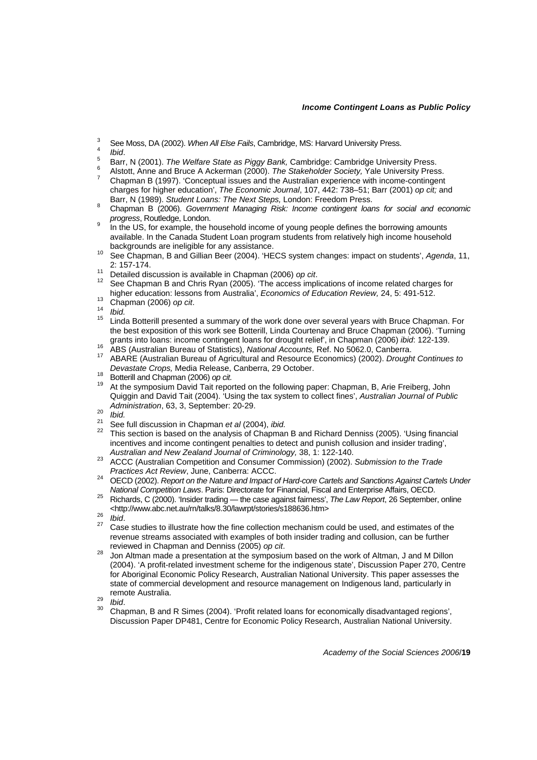- 3 <sup>3</sup> See Moss, DA (2002). *When All Else Fails*, Cambridge, MS: Harvard University Press.
- $\frac{4}{5}$  *Ibid.*
- <sup>5</sup> Barr, N (2001). *The Welfare State as Piggy Bank, Cambridge: Cambridge University Press.*
- Alstott, Anne and Bruce A Ackerman (2000). *The Stakeholder Society,* Yale University Press. 7 Chapman B (1997). 'Conceptual issues and the Australian experience with income-contingent charges for higher education', *The Economic Journal*, 107, 442: 738–51; Barr (2001) *op cit;* and
- Barr, N (1989). *Student Loans: The Next Steps,* London: Freedom Press. 8 Chapman B (2006). *Government Managing Risk: Income contingent loans for social and economic*
- *progress*, Routledge, London. In the US, for example, the household income of young people defines the borrowing amounts available. In the Canada Student Loan program students from relatively high income household
- backgrounds are ineligible for any assistance. 10 See Chapman, B and Gillian Beer (2004). 'HECS system changes: impact on students', *Agenda*, 11,
- 
- 2: 157-174.<br><sup>11</sup> Detailed discussion is available in Chapman (2006) *op cit*.<br><sup>12</sup> See Chapman B and Chris Ryan (2005). 'The access implications of income related charges for<br>higher education: lessons from Australia', *Eco*
- 
- 
- $13$  Chapman (2006) op cit.<br>
<sup>14</sup> *Ibid.*<br>
<sup>15</sup> Linda Botterill presented a summary of the work done over several years with Bruce Chapman. For the best exposition of this work see Botterill, Linda Courtenay and Bruce Chapman (2006). 'Turning grants into loans: income contingent loans for drought relief', in Chapman (2006) *ibid*: 122-139.
- 
- ABS (Australian Bureau of Statistics), National Accounts, Ref. No 5062.0, Canberra.<br><sup>16</sup> ABS (Australian Bureau of Statistics), National Accounts, Ref. No 5062.0, Canberra.<br><sup>17</sup> ABARE (Australian Bureau of Agricultural and
- 
- *Devastate Crops, Media Release, Canberra, 29 October.*<br><sup>18</sup> Botterill and Chapman (2006) *op cit.*<br><sup>19</sup> At the symposium David Tait reported on the following paper: Chapman, B, Arie Freiberg, John Quiggin and David Tait (2004). 'Using the tax system to collect fines', *Australian Journal of Public*
- 
- 
- Administration, 63, 3, September: 20-29.<br>
<sup>20</sup> *Ibid.*<br>
<sup>21</sup> See full discussion in Chapman *et al (2004), ibid.*<br>
<sup>21</sup> See full discussion in Chapman *et al (2004), ibid.*<br>
<sup>22</sup> This section is based on the analysis of C incentives and income contingent penalties to detect and punish collusion and insider trading',
- *Australian and New Zealand Journal of Criminology,* 38, 1: 122-140. 23 ACCC (Australian Competition and Consumer Commission) (2002). *Submission to the Trade*
- *Practices Act Review, June, Canberra: ACCC.*<br><sup>24</sup> OECD (2002). *Report on the Nature and Impact of Hard-core Cartels and Sanctions Against Cartels Under National Competition Laws. Paris: Directorate for Financial, Fiscal*
- *National Competition Laws*. Paris: Directorate for Financial, Fiscal and Enterprise Affairs, OECD. 25 Richards, C (2000). 'Insider trading the case against fairness', *The Law Report*, 26 September, online
- 
- 26 *Ibid.*<br>26 *Ibid.* 27 Case studies to illustrate how the fine collection mechanism could be used, and estimates of the revenue streams associated with examples of both insider trading and collusion, can be further
- reviewed in Chapman and Denniss (2005) *op cit*. 28 Jon Altman made a presentation at the symposium based on the work of Altman, J and M Dillon (2004). 'A profit-related investment scheme for the indigenous state', Discussion Paper 270, Centre for Aboriginal Economic Policy Research, Australian National University. This paper assesses the state of commercial development and resource management on Indigenous land, particularly in
- 
- remote Australia.<br><sup>29</sup> *Ibid.*<br><sup>30</sup> Chapman, B and R Simes (2004). 'Profit related loans for economically disadvantaged regions', Discussion Paper DP481, Centre for Economic Policy Research, Australian National University.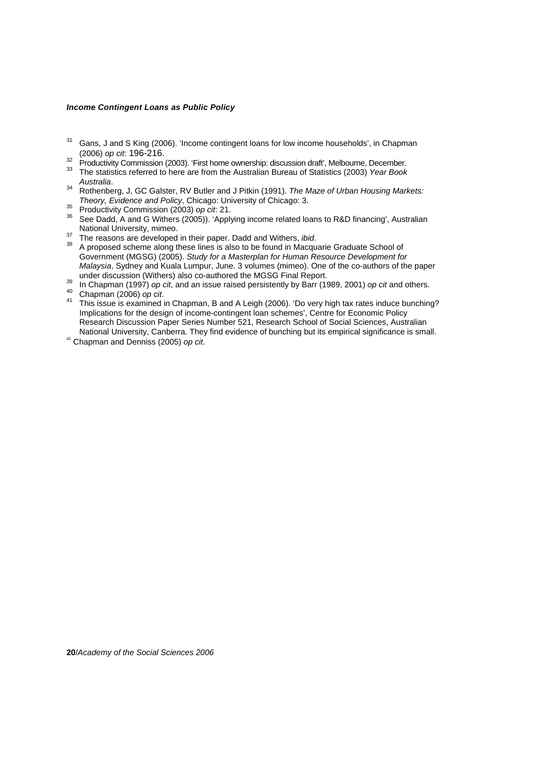- <sup>31</sup> Gans, J and S King (2006). 'Income contingent loans for low income households', in Chapman
- 
- (2006) op cit. 196-216.<br>
<sup>32</sup> Productivity Commission (2003). 'First home ownership: discussion draft', Melbourne, December.<br>
<sup>33</sup> The statistics referred to here are from the Australian Bureau of Statistics (2003) Year B *Australia*. 34 Rothenberg, J, GC Galster, RV Butler and J Pitkin (1991). *The Maze of Urban Housing Markets:*
- *Theory, Evidence and Policy*, Chicago: University of Chicago: 3.<br><sup>35</sup> Productivity Commission (2003) *op cit*: 21.<br><sup>36</sup> See Dadd, A and G Withers (2005)). 'Applying income related loans to R&D financing', Australian
- 
- 
- 
- National University, mimeo.<br><sup>37</sup> The reasons are developed in their paper. Dadd and Withers, *ibid*.<br><sup>38</sup> A proposed scheme along these lines is also to be found in Macquarie Graduate School of Government (MGSG) (2005). *Study for a Masterplan for Human Resource Development for Malaysia*, Sydney and Kuala Lumpur, June. 3 volumes (mimeo). One of the co-authors of the paper
- 
- 
- under discussion (Withers) also co-authored the MGSG Final Report.<br>
<sup>39</sup> In Chapman (1997) op cit, and an issue raised persistently by Barr (1989, 2001) op cit and others.<br>
<sup>40</sup> Chapman (2006) op cit.<br>
<sup>41</sup> This issue is e Implications for the design of income-contingent loan schemes', Centre for Economic Policy Research Discussion Paper Series Number 521, Research School of Social Sciences, Australian National University, Canberra. They find evidence of bunching but its empirical significance is small.
- <sup>42</sup> Chapman and Denniss (2005) *op cit*.